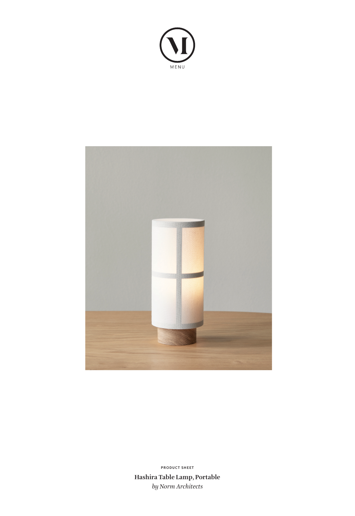



**Hashira Table Lamp, Portable** *by Norm Architects* **PRODUCT SHEET**